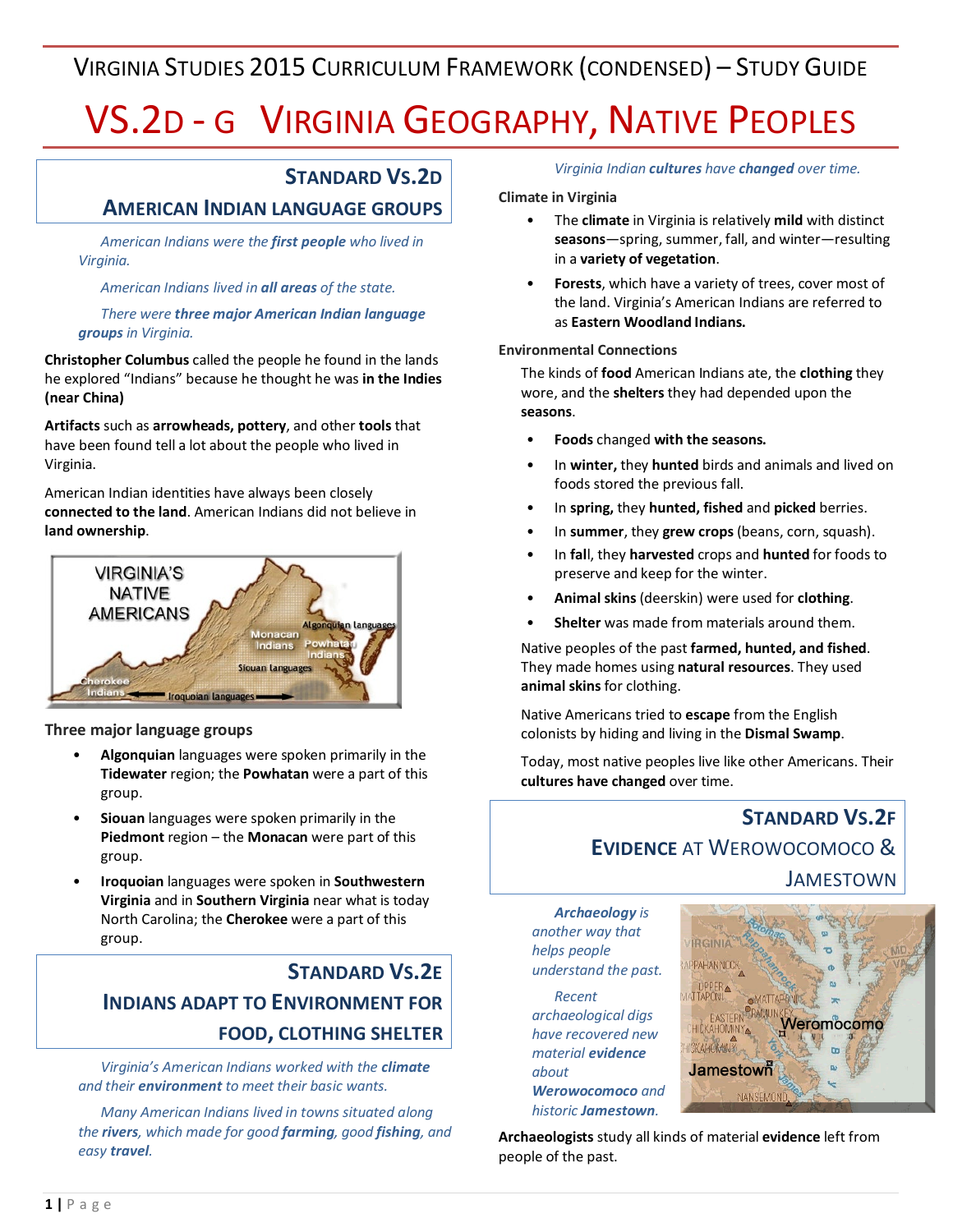# VIRGINIA STUDIES 2015 CURRICULUM FRAMEWORK (CONDENSED) – STUDY GUIDE

# VS.2D - G VIRGINIA GEOGRAPHY, NATIVE PEOPLES

### **STANDARD VS.2D**

#### **AMERICAN INDIAN LANGUAGE GROUPS**

*American Indians were the first people who lived in Virginia.* 

*American Indians lived in all areas of the state.*

*There were three major American Indian language groups in Virginia.*

**Christopher Columbus** called the people he found in the lands he explored "Indians" because he thought he was **in the Indies (near China)**

**Artifacts** such as **arrowheads, pottery**, and other **tools** that have been found tell a lot about the people who lived in Virginia.

American Indian identities have always been closely **connected to the land**. American Indians did not believe in **land ownership**.



**Three major language groups**

- **Algonquian** languages were spoken primarily in the **Tidewater** region; the **Powhatan** were a part of this group.
- **Siouan** languages were spoken primarily in the **Piedmont** region – the **Monacan** were part of this group.
- **Iroquoian** languages were spoken in **Southwestern Virginia** and in **Southern Virginia** near what is today North Carolina; the **Cherokee** were a part of this group.

## **STANDARD VS.2E INDIANS ADAPT TO ENVIRONMENT FOR FOOD, CLOTHING SHELTER**

*Virginia's American Indians worked with the climate and their environment to meet their basic wants.*

*Many American Indians lived in towns situated along the rivers, which made for good farming, good fishing, and easy travel.*

*Virginia Indian cultures have changed over time.*

#### **Climate in Virginia**

- The **climate** in Virginia is relatively **mild** with distinct **seasons**—spring, summer, fall, and winter—resulting in a **variety of vegetation**.
- **Forests**, which have a variety of trees, cover most of the land. Virginia's American Indians are referred to as **Eastern Woodland Indians.**

#### **Environmental Connections**

The kinds of **food** American Indians ate, the **clothing** they wore, and the **shelters** they had depended upon the **seasons**.

- **Foods** changed **with the seasons.**
- In **winter,** they **hunted** birds and animals and lived on foods stored the previous fall.
- In **spring,** they **hunted, fished** and **picked** berries.
- In **summer**, they **grew crops** (beans, corn, squash).
- In **fal**l, they **harvested** crops and **hunted** for foods to preserve and keep for the winter.
- **Animal skins** (deerskin) were used for **clothing**.
- **Shelter** was made from materials around them.

Native peoples of the past **farmed, hunted, and fished**. They made homes using **natural resources**. They used **animal skins** for clothing.

Native Americans tried to **escape** from the English colonists by hiding and living in the **Dismal Swamp**.

Today, most native peoples live like other Americans. Their **cultures have changed** over time.

# **STANDARD VS.2F EVIDENCE** AT WEROWOCOMOCO & JAMESTOWN

*Archaeology is another way that helps people understand the past.*

*Recent archaeological digs have recovered new material evidence about Werowocomoco and* 

*historic Jamestown.*



**Archaeologists** study all kinds of material **evidence** left from people of the past.